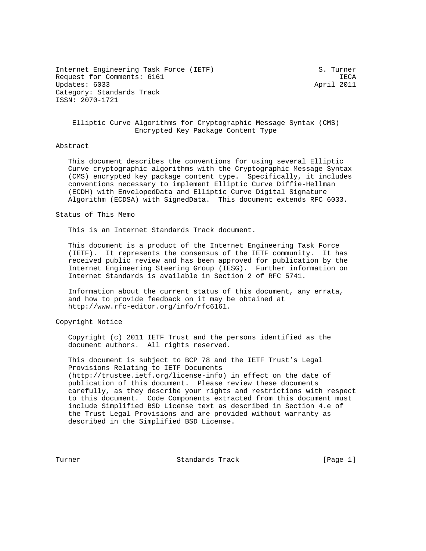Internet Engineering Task Force (IETF) S. Turner Request for Comments: 6161 IECA Updates: 6033 April 2011 Category: Standards Track ISSN: 2070-1721

## Elliptic Curve Algorithms for Cryptographic Message Syntax (CMS) Encrypted Key Package Content Type

## Abstract

 This document describes the conventions for using several Elliptic Curve cryptographic algorithms with the Cryptographic Message Syntax (CMS) encrypted key package content type. Specifically, it includes conventions necessary to implement Elliptic Curve Diffie-Hellman (ECDH) with EnvelopedData and Elliptic Curve Digital Signature Algorithm (ECDSA) with SignedData. This document extends RFC 6033.

## Status of This Memo

This is an Internet Standards Track document.

 This document is a product of the Internet Engineering Task Force (IETF). It represents the consensus of the IETF community. It has received public review and has been approved for publication by the Internet Engineering Steering Group (IESG). Further information on Internet Standards is available in Section 2 of RFC 5741.

 Information about the current status of this document, any errata, and how to provide feedback on it may be obtained at http://www.rfc-editor.org/info/rfc6161.

Copyright Notice

 Copyright (c) 2011 IETF Trust and the persons identified as the document authors. All rights reserved.

 This document is subject to BCP 78 and the IETF Trust's Legal Provisions Relating to IETF Documents (http://trustee.ietf.org/license-info) in effect on the date of publication of this document. Please review these documents carefully, as they describe your rights and restrictions with respect to this document. Code Components extracted from this document must include Simplified BSD License text as described in Section 4.e of the Trust Legal Provisions and are provided without warranty as described in the Simplified BSD License.

Turner Standards Track [Page 1]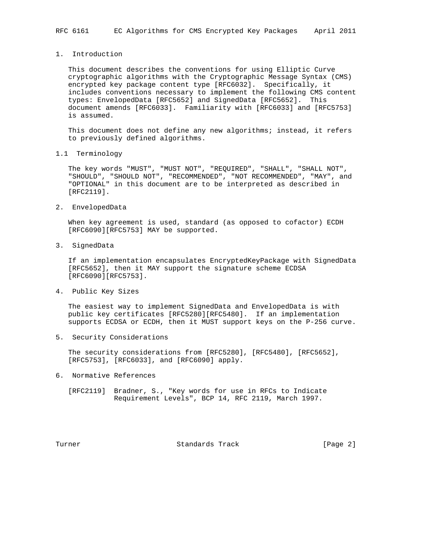1. Introduction

 This document describes the conventions for using Elliptic Curve cryptographic algorithms with the Cryptographic Message Syntax (CMS) encrypted key package content type [RFC6032]. Specifically, it includes conventions necessary to implement the following CMS content types: EnvelopedData [RFC5652] and SignedData [RFC5652]. This document amends [RFC6033]. Familiarity with [RFC6033] and [RFC5753] is assumed.

 This document does not define any new algorithms; instead, it refers to previously defined algorithms.

1.1 Terminology

 The key words "MUST", "MUST NOT", "REQUIRED", "SHALL", "SHALL NOT", "SHOULD", "SHOULD NOT", "RECOMMENDED", "NOT RECOMMENDED", "MAY", and "OPTIONAL" in this document are to be interpreted as described in [RFC2119].

2. EnvelopedData

 When key agreement is used, standard (as opposed to cofactor) ECDH [RFC6090][RFC5753] MAY be supported.

3. SignedData

 If an implementation encapsulates EncryptedKeyPackage with SignedData [RFC5652], then it MAY support the signature scheme ECDSA [RFC6090][RFC5753].

4. Public Key Sizes

 The easiest way to implement SignedData and EnvelopedData is with public key certificates [RFC5280][RFC5480]. If an implementation supports ECDSA or ECDH, then it MUST support keys on the P-256 curve.

5. Security Considerations

 The security considerations from [RFC5280], [RFC5480], [RFC5652], [RFC5753], [RFC6033], and [RFC6090] apply.

6. Normative References

 [RFC2119] Bradner, S., "Key words for use in RFCs to Indicate Requirement Levels", BCP 14, RFC 2119, March 1997.

Turner Standards Track [Page 2]